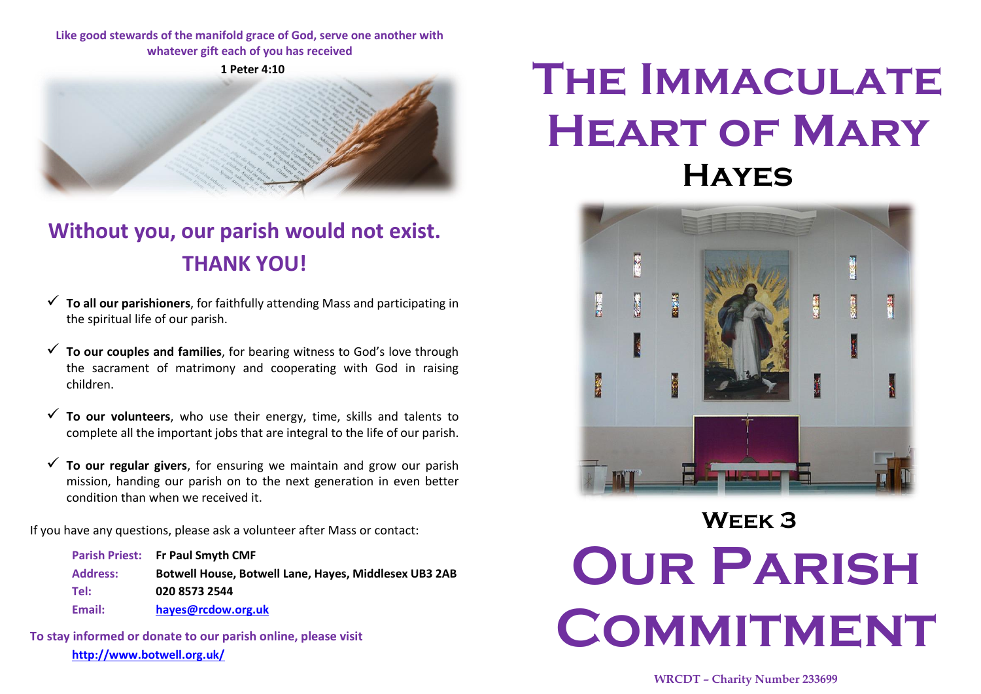### **Like good stewards of the manifold grace of God, serve one another with whatever gift each of you has received**

**1 Peter 4:10**



### **Without you, our parish would not exist. THANK YOU!**

- **To all our parishioners**, for faithfully attending Mass and participating in the spiritual life of our parish.
- **To our couples and families**, for bearing witness to God's love through the sacrament of matrimony and cooperating with God in raising children.
- **To our volunteers**, who use their energy, time, skills and talents to complete all the important jobs that are integral to the life of our parish.
- **To our regular givers**, for ensuring we maintain and grow our parish mission, handing our parish on to the next generation in even better condition than when we received it.

If you have any questions, please ask a volunteer after Mass or contact:

|                 | Parish Priest: Fr Paul Smyth CMF                      |
|-----------------|-------------------------------------------------------|
| <b>Address:</b> | Botwell House, Botwell Lane, Hayes, Middlesex UB3 2AB |
| Tel:            | 020 8573 2544                                         |
| Email:          | hayes@rcdow.org.uk                                    |

**To stay informed or donate to our parish online, please visit http://www.botwell.org.uk/**

## **The Immaculate Heart of Mary Hayes**



# **Week 3 Our Parish COMMITMENT**

#### **WRCDT – Charity Number 233699**